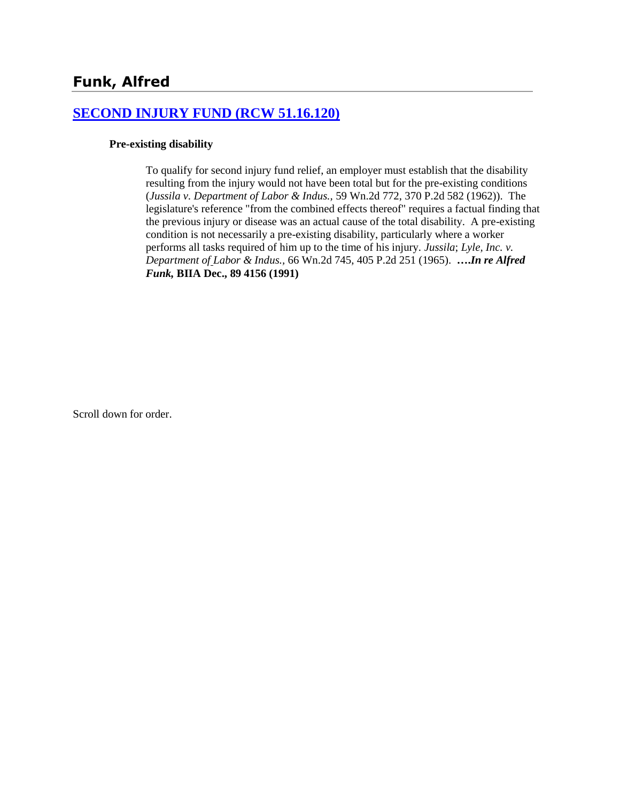## **[SECOND INJURY FUND \(RCW 51.16.120\)](http://www.biia.wa.gov/SDSubjectIndex.html#SECOND_INJURY_FUND)**

#### **Pre-existing disability**

To qualify for second injury fund relief, an employer must establish that the disability resulting from the injury would not have been total but for the pre-existing conditions (*Jussila v. Department of Labor & Indus.,* 59 Wn.2d 772, 370 P.2d 582 (1962)). The legislature's reference "from the combined effects thereof" requires a factual finding that the previous injury or disease was an actual cause of the total disability. A pre-existing condition is not necessarily a pre-existing disability, particularly where a worker performs all tasks required of him up to the time of his injury. *Jussila*; *Lyle, Inc. v. Department of Labor & Indus.,* 66 Wn.2d 745, 405 P.2d 251 (1965). **….***In re Alfred Funk,* **BIIA Dec., 89 4156 (1991)**

Scroll down for order.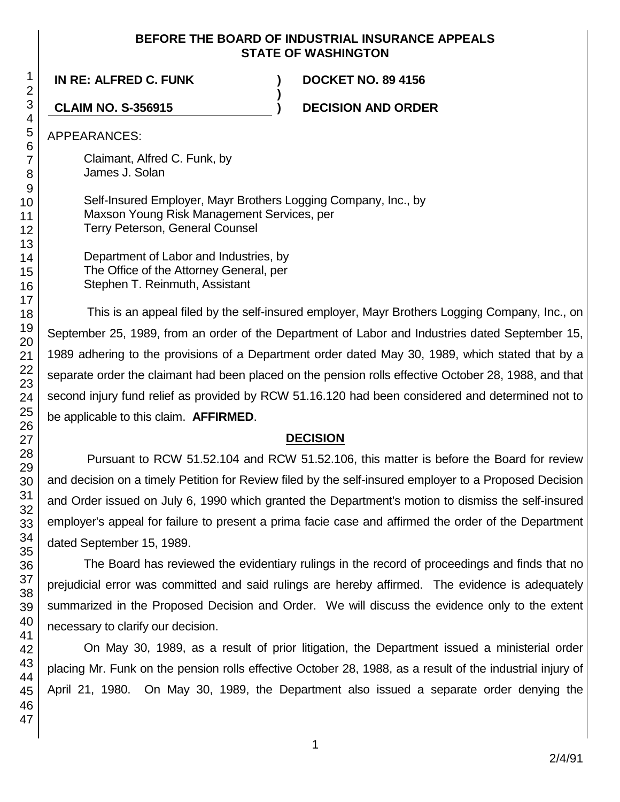#### **BEFORE THE BOARD OF INDUSTRIAL INSURANCE APPEALS STATE OF WASHINGTON**

**)**

**IN RE: ALFRED C. FUNK ) DOCKET NO. 89 4156**

**CLAIM NO. S-356915 ) DECISION AND ORDER**

APPEARANCES:

Claimant, Alfred C. Funk, by James J. Solan

Self-Insured Employer, Mayr Brothers Logging Company, Inc., by Maxson Young Risk Management Services, per Terry Peterson, General Counsel

Department of Labor and Industries, by The Office of the Attorney General, per Stephen T. Reinmuth, Assistant

This is an appeal filed by the self-insured employer, Mayr Brothers Logging Company, Inc., on September 25, 1989, from an order of the Department of Labor and Industries dated September 15, 1989 adhering to the provisions of a Department order dated May 30, 1989, which stated that by a separate order the claimant had been placed on the pension rolls effective October 28, 1988, and that second injury fund relief as provided by RCW 51.16.120 had been considered and determined not to be applicable to this claim. **AFFIRMED**.

# **DECISION**

Pursuant to RCW 51.52.104 and RCW 51.52.106, this matter is before the Board for review and decision on a timely Petition for Review filed by the self-insured employer to a Proposed Decision and Order issued on July 6, 1990 which granted the Department's motion to dismiss the self-insured employer's appeal for failure to present a prima facie case and affirmed the order of the Department dated September 15, 1989.

The Board has reviewed the evidentiary rulings in the record of proceedings and finds that no prejudicial error was committed and said rulings are hereby affirmed. The evidence is adequately summarized in the Proposed Decision and Order. We will discuss the evidence only to the extent necessary to clarify our decision.

On May 30, 1989, as a result of prior litigation, the Department issued a ministerial order placing Mr. Funk on the pension rolls effective October 28, 1988, as a result of the industrial injury of April 21, 1980. On May 30, 1989, the Department also issued a separate order denying the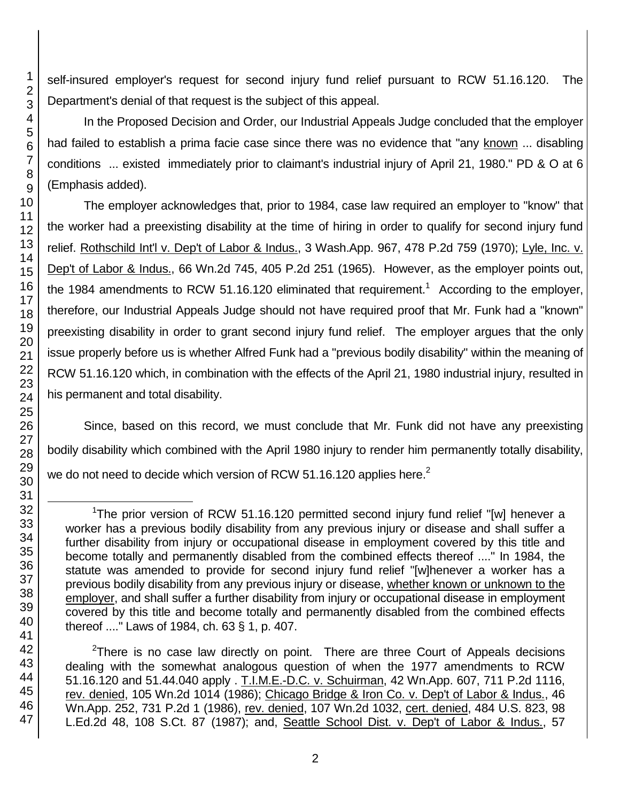self-insured employer's request for second injury fund relief pursuant to RCW 51.16.120. The Department's denial of that request is the subject of this appeal.

In the Proposed Decision and Order, our Industrial Appeals Judge concluded that the employer had failed to establish a prima facie case since there was no evidence that "any known ... disabling conditions ... existed immediately prior to claimant's industrial injury of April 21, 1980." PD & O at 6 (Emphasis added).

The employer acknowledges that, prior to 1984, case law required an employer to "know" that the worker had a preexisting disability at the time of hiring in order to qualify for second injury fund relief. Rothschild Int'l v. Dep't of Labor & Indus., 3 Wash.App. 967, 478 P.2d 759 (1970); Lyle, Inc. v. Dep't of Labor & Indus., 66 Wn.2d 745, 405 P.2d 251 (1965). However, as the employer points out, the 1984 amendments to RCW 51.16.120 eliminated that requirement.<sup>1</sup> According to the employer, therefore, our Industrial Appeals Judge should not have required proof that Mr. Funk had a "known" preexisting disability in order to grant second injury fund relief. The employer argues that the only issue properly before us is whether Alfred Funk had a "previous bodily disability" within the meaning of RCW 51.16.120 which, in combination with the effects of the April 21, 1980 industrial injury, resulted in his permanent and total disability.

Since, based on this record, we must conclude that Mr. Funk did not have any preexisting bodily disability which combined with the April 1980 injury to render him permanently totally disability, we do not need to decide which version of RCW 51.16.120 applies here.<sup>2</sup>

 $2$ There is no case law directly on point. There are three Court of Appeals decisions dealing with the somewhat analogous question of when the 1977 amendments to RCW 51.16.120 and 51.44.040 apply . T.I.M.E.-D.C. v. Schuirman, 42 Wn.App. 607, 711 P.2d 1116, rev. denied, 105 Wn.2d 1014 (1986); Chicago Bridge & Iron Co. v. Dep't of Labor & Indus., 46 Wn.App. 252, 731 P.2d 1 (1986), rev. denied, 107 Wn.2d 1032, cert. denied, 484 U.S. 823, 98 L.Ed.2d 48, 108 S.Ct. 87 (1987); and, Seattle School Dist. v. Dep't of Labor & Indus., 57

l

<sup>&</sup>lt;sup>1</sup>The prior version of RCW 51.16.120 permitted second injury fund relief "[w] henever a worker has a previous bodily disability from any previous injury or disease and shall suffer a further disability from injury or occupational disease in employment covered by this title and become totally and permanently disabled from the combined effects thereof ...." In 1984, the statute was amended to provide for second injury fund relief "[w]henever a worker has a previous bodily disability from any previous injury or disease, whether known or unknown to the employer, and shall suffer a further disability from injury or occupational disease in employment covered by this title and become totally and permanently disabled from the combined effects thereof ...." Laws of 1984, ch. 63 § 1, p. 407.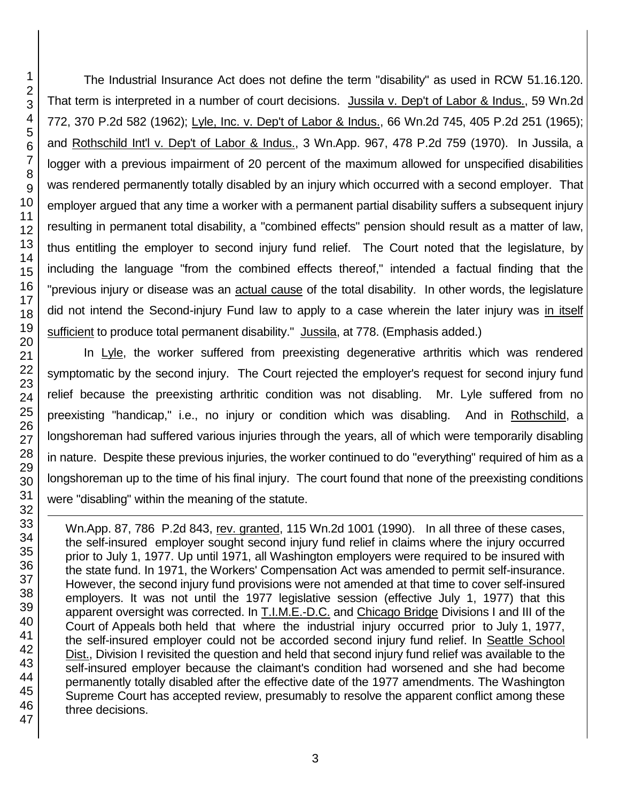1

The Industrial Insurance Act does not define the term "disability" as used in RCW 51.16.120. That term is interpreted in a number of court decisions. Jussila v. Dep't of Labor & Indus., 59 Wn.2d 772, 370 P.2d 582 (1962); Lyle, Inc. v. Dep't of Labor & Indus., 66 Wn.2d 745, 405 P.2d 251 (1965); and Rothschild Int'l v. Dep't of Labor & Indus., 3 Wn.App. 967, 478 P.2d 759 (1970). In Jussila, a logger with a previous impairment of 20 percent of the maximum allowed for unspecified disabilities was rendered permanently totally disabled by an injury which occurred with a second employer. That employer argued that any time a worker with a permanent partial disability suffers a subsequent injury resulting in permanent total disability, a "combined effects" pension should result as a matter of law, thus entitling the employer to second injury fund relief. The Court noted that the legislature, by including the language "from the combined effects thereof," intended a factual finding that the "previous injury or disease was an actual cause of the total disability. In other words, the legislature did not intend the Second-injury Fund law to apply to a case wherein the later injury was in itself sufficient to produce total permanent disability." Jussila, at 778. (Emphasis added.)

In Lyle, the worker suffered from preexisting degenerative arthritis which was rendered symptomatic by the second injury. The Court rejected the employer's request for second injury fund relief because the preexisting arthritic condition was not disabling. Mr. Lyle suffered from no preexisting "handicap," i.e., no injury or condition which was disabling. And in Rothschild, a longshoreman had suffered various injuries through the years, all of which were temporarily disabling in nature. Despite these previous injuries, the worker continued to do "everything" required of him as a longshoreman up to the time of his final injury. The court found that none of the preexisting conditions were "disabling" within the meaning of the statute.

Wn.App. 87, 786 P.2d 843, rev. granted, 115 Wn.2d 1001 (1990). In all three of these cases, the self-insured employer sought second injury fund relief in claims where the injury occurred prior to July 1, 1977. Up until 1971, all Washington employers were required to be insured with the state fund. In 1971, the Workers' Compensation Act was amended to permit self-insurance. However, the second injury fund provisions were not amended at that time to cover self-insured employers. It was not until the 1977 legislative session (effective July 1, 1977) that this apparent oversight was corrected. In T.I.M.E.-D.C. and Chicago Bridge Divisions I and III of the Court of Appeals both held that where the industrial injury occurred prior to July 1, 1977, the self-insured employer could not be accorded second injury fund relief. In Seattle School Dist., Division I revisited the question and held that second injury fund relief was available to the self-insured employer because the claimant's condition had worsened and she had become permanently totally disabled after the effective date of the 1977 amendments. The Washington Supreme Court has accepted review, presumably to resolve the apparent conflict among these three decisions.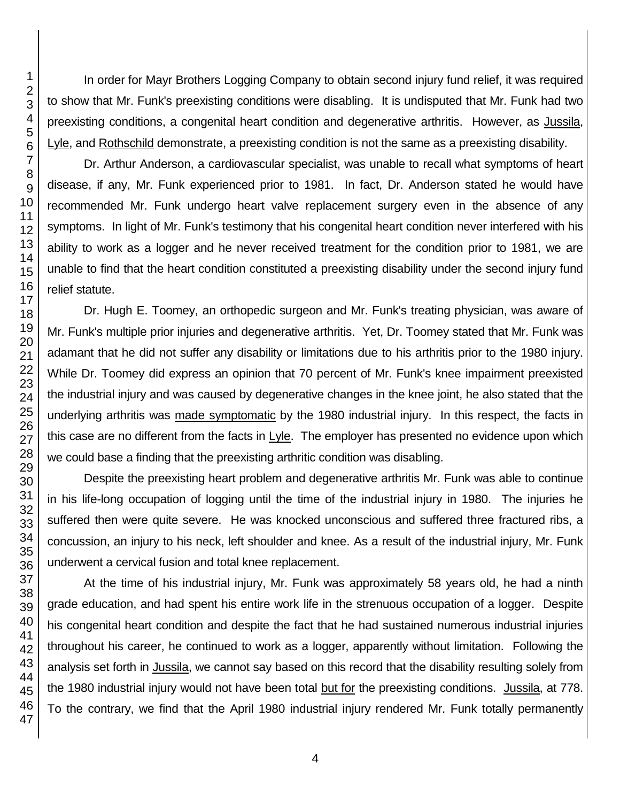In order for Mayr Brothers Logging Company to obtain second injury fund relief, it was required to show that Mr. Funk's preexisting conditions were disabling. It is undisputed that Mr. Funk had two preexisting conditions, a congenital heart condition and degenerative arthritis. However, as Jussila, Lyle, and Rothschild demonstrate, a preexisting condition is not the same as a preexisting disability.

Dr. Arthur Anderson, a cardiovascular specialist, was unable to recall what symptoms of heart disease, if any, Mr. Funk experienced prior to 1981. In fact, Dr. Anderson stated he would have recommended Mr. Funk undergo heart valve replacement surgery even in the absence of any symptoms. In light of Mr. Funk's testimony that his congenital heart condition never interfered with his ability to work as a logger and he never received treatment for the condition prior to 1981, we are unable to find that the heart condition constituted a preexisting disability under the second injury fund relief statute.

Dr. Hugh E. Toomey, an orthopedic surgeon and Mr. Funk's treating physician, was aware of Mr. Funk's multiple prior injuries and degenerative arthritis. Yet, Dr. Toomey stated that Mr. Funk was adamant that he did not suffer any disability or limitations due to his arthritis prior to the 1980 injury. While Dr. Toomey did express an opinion that 70 percent of Mr. Funk's knee impairment preexisted the industrial injury and was caused by degenerative changes in the knee joint, he also stated that the underlying arthritis was made symptomatic by the 1980 industrial injury. In this respect, the facts in this case are no different from the facts in  $Lyle$ . The employer has presented no evidence upon which we could base a finding that the preexisting arthritic condition was disabling.

Despite the preexisting heart problem and degenerative arthritis Mr. Funk was able to continue in his life-long occupation of logging until the time of the industrial injury in 1980. The injuries he suffered then were quite severe. He was knocked unconscious and suffered three fractured ribs, a concussion, an injury to his neck, left shoulder and knee. As a result of the industrial injury, Mr. Funk underwent a cervical fusion and total knee replacement.

At the time of his industrial injury, Mr. Funk was approximately 58 years old, he had a ninth grade education, and had spent his entire work life in the strenuous occupation of a logger. Despite his congenital heart condition and despite the fact that he had sustained numerous industrial injuries throughout his career, he continued to work as a logger, apparently without limitation. Following the analysis set forth in Jussila, we cannot say based on this record that the disability resulting solely from the 1980 industrial injury would not have been total but for the preexisting conditions. Jussila, at 778. To the contrary, we find that the April 1980 industrial injury rendered Mr. Funk totally permanently